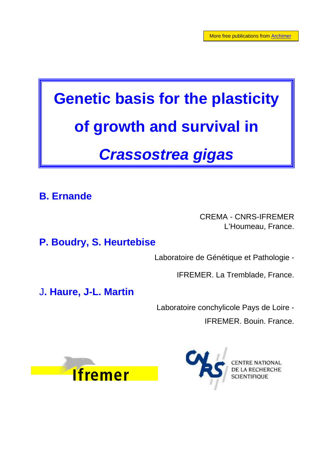# **Genetic basis for the plasticity of growth and survival in**  *Crassostrea gigas*

**B. Ernande**

CREMA - CNRS-IFREMER L'Houmeau, France.

**P. Boudry, S. Heurtebise**

Laboratoire de Génétique et Pathologie -

IFREMER. La Tremblade, France.

J**. Haure, J-L. Martin**

Laboratoire conchylicole Pays de Loire - IFREMER. Bouin. France.



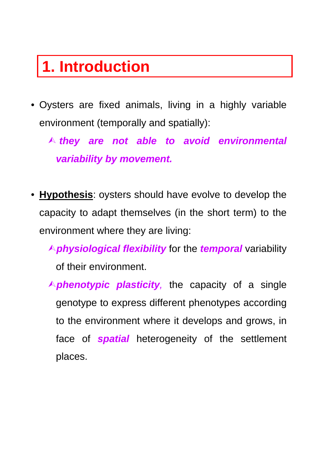### **1. Introduction**

• Oysters are fixed animals, living in a highly variable environment (temporally and spatially):

¿ *they are not able to avoid environmental variability by movement.*

**Hypothesis**: oysters should have evolve to develop the capacity to adapt themselves (in the short term) to the environment where they are living:

¿*physiological flexibility* for the *temporal* variability of their environment.

A **phenotypic plasticity**, the capacity of a single genotype to express different phenotypes according to the environment where it develops and grows, in face of *spatial* heterogeneity of the settlement places.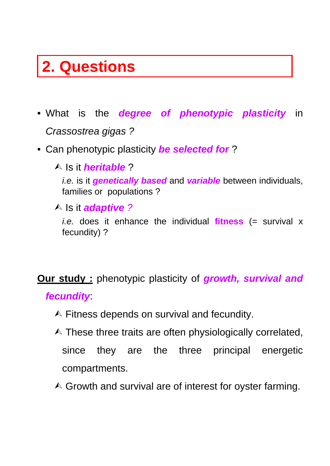### **2. Questions**

- What is the *degree of phenotypic plasticity* in *Crassostrea gigas ?*
- Can phenotypic plasticity *be selected for* ?
	- ¿ Is it *heritable* ? *i.e.* is it *genetically based* and **variable** between individuals, families or populations ?
		- ¿ Is it *adaptive ?*

*i.e.* does it enhance the individual **fitness** (= survival x fecundity) ?

**Our study :** phenotypic plasticity of *growth, survival and fecundity*:

- $\triangle$  Fitness depends on survival and fecundity.
- $\triangle$  These three traits are often physiologically correlated, since they are the three principal energetic compartments.
- $\triangle$  Growth and survival are of interest for oyster farming.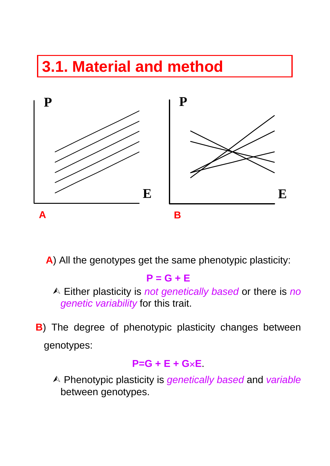## **3.1. Material and method**



**A**) All the genotypes get the same phenotypic plasticity:

#### **P = G + E**

- ¿ Either plasticity is *not genetically based* or there is *no genetic variability* for this trait.
- **B**) The degree of phenotypic plasticity changes between genotypes:

#### **P=G + E + G**×**E**.

¿ Phenotypic plasticity is *genetically based* and *variable* between genotypes.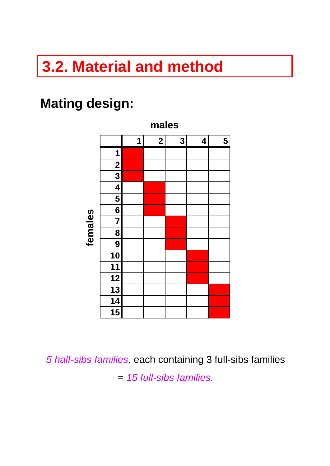### **3.2. Material and method**

#### **Mating design:**



*5 half-sibs families,* each containing 3 full-sibs families = *15 full-sibs families.*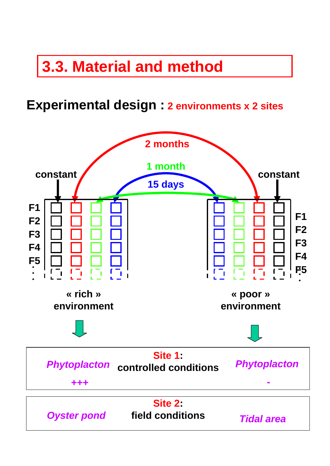### **3.3. Material and method**

#### **Experimental design : 2 environments x 2 sites**

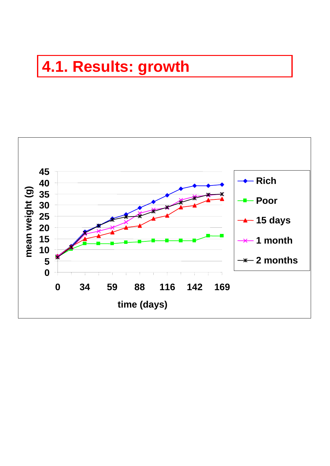### **4.1. Results: growth**

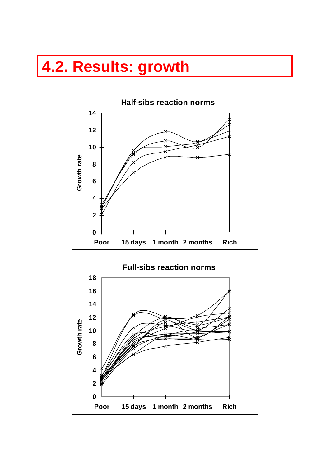### **4.2. Results: growth**

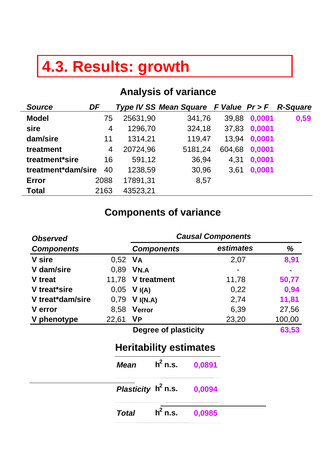### **4.3. Results: growth**

#### **Analysis of variance**

| <b>Source</b>      | DF   |          | Type IV SS Mean Square F Value Pr > F R-Square |        |        |      |
|--------------------|------|----------|------------------------------------------------|--------|--------|------|
| <b>Model</b>       | 75   | 25631,90 | 341,76                                         | 39,88  | 0,0001 | 0,59 |
| sire               | 4    | 1296,70  | 324,18                                         | 37,83  | 0,0001 |      |
| dam/sire           | 11   | 1314,21  | 119,47                                         | 13,94  | 0,0001 |      |
| treatment          | 4    | 20724,96 | 5181,24                                        | 604,68 | 0,0001 |      |
| treatment*sire     | 16   | 591,12   | 36,94                                          | 4,31   | 0,0001 |      |
| treatment*dam/sire | 40   | 1238,59  | 30,96                                          | 3,61   | 0,0001 |      |
| <b>Error</b>       | 2088 | 17891,31 | 8,57                                           |        |        |      |
| <b>Total</b>       | 2163 | 43523,21 |                                                |        |        |      |

#### **Components of variance**

| <b>Observed</b>   |              | <b>Causal Components</b>      |        |           |        |  |  |
|-------------------|--------------|-------------------------------|--------|-----------|--------|--|--|
| <b>Components</b> |              | <b>Components</b>             |        | estimates | %      |  |  |
| <b>V</b> sire     | 0,52         | <b>VA</b>                     |        | 2,07      | 8,91   |  |  |
| V dam/sire        | 0,89         | VN.A                          |        |           |        |  |  |
| V treat           | 11,78        | V treatment                   |        | 11,78     | 50,77  |  |  |
| V treat*sire      | 0,05         | V I(A)                        |        | 0,22      | 0,94   |  |  |
| V treat*dam/sire  | 0,79         | V I(N.A)                      |        | 2,74      | 11,81  |  |  |
| <b>V</b> error    | 8,58         | Verror                        |        | 6,39      | 27,56  |  |  |
| V phenotype       | 22,61        | <b>VP</b>                     |        | 23,20     | 100,00 |  |  |
|                   |              | Degree of plasticity          |        |           | 63,53  |  |  |
|                   |              | <b>Heritability estimates</b> |        |           |        |  |  |
|                   | <b>Mean</b>  | $h^2$ n.s.                    | 0,0891 |           |        |  |  |
|                   |              | Plasticity $h^2$ n.s.         | 0,0094 |           |        |  |  |
|                   | <b>Total</b> | $h2$ n.s.                     | 0,0985 |           |        |  |  |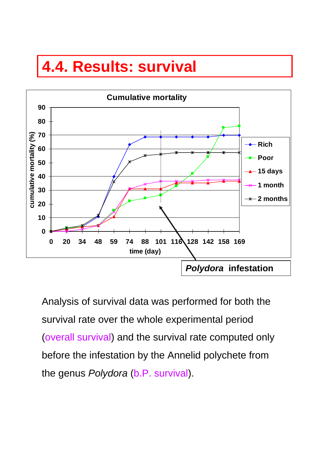### **4.4. Results: survival**



Analysis of survival data was performed for both the survival rate over the whole experimental period (overall survival) and the survival rate computed only before the infestation by the Annelid polychete from the genus *Polydora* (b.P. survival).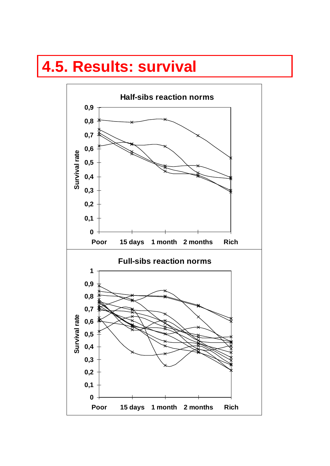#### **4.5. Results: survival**

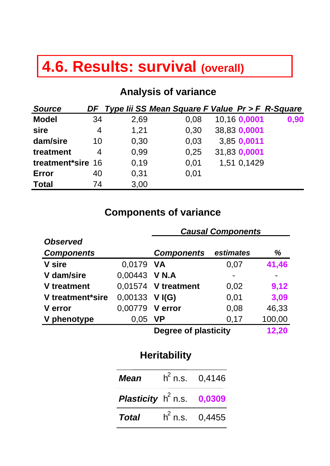### **4.6. Results: survival (overall)**

#### **Analysis of variance**

| <b>Source</b>     | DF | Type lii SS Mean Square F Value Pr > F R-Square |      |              |      |
|-------------------|----|-------------------------------------------------|------|--------------|------|
| <b>Model</b>      | 34 | 2,69                                            | 0,08 | 10,16 0,0001 | 0,90 |
| sire              | 4  | 1,21                                            | 0,30 | 38,83 0,0001 |      |
| dam/sire          | 10 | 0,30                                            | 0,03 | 3,85 0,0011  |      |
| treatment         | 4  | 0,99                                            | 0,25 | 31,83 0,0001 |      |
| treatment*sire 16 |    | 0,19                                            | 0,01 | 1,51 0,1429  |      |
| Error             | 40 | 0,31                                            | 0,01 |              |      |
| <b>Total</b>      | 74 | 3,00                                            |      |              |      |

#### **Components of variance**

|                   | <b>Causal Components</b> |                      |           |        |  |
|-------------------|--------------------------|----------------------|-----------|--------|--|
| <b>Observed</b>   |                          |                      |           |        |  |
| <b>Components</b> |                          | <b>Components</b>    | estimates | %      |  |
| <b>V</b> sire     | 0,0179 VA                |                      | 0,07      | 41,46  |  |
| V dam/sire        | 0,00443 V N.A            |                      |           |        |  |
| V treatment       |                          | 0,01574 V treatment  | 0,02      | 9,12   |  |
| V treatment*sire  | $0,00133$ VI(G)          |                      | 0,01      | 3,09   |  |
| <b>V</b> error    | 0,00779 V error          |                      | 0,08      | 46,33  |  |
| V phenotype       | $0,05$ VP                |                      | 0,17      | 100,00 |  |
|                   |                          | Degree of plasticity |           | 12,20  |  |

#### **Heritability**

| <b>Mean</b>                                | $h^2$ n.s. 0,4146 |
|--------------------------------------------|-------------------|
| <b>Plasticity</b> $h^2$ n.s. <b>0,0309</b> |                   |
| <b>Total</b>                               | $h^2$ n.s. 0.4455 |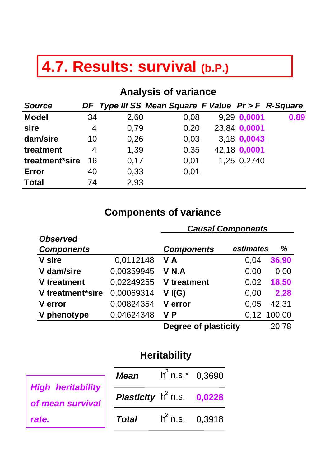### **4.7. Results: survival (b.P.)**

#### **Analysis of variance**

| <b>Source</b>  |                |      | DF Type III SS Mean Square F Value Pr > F R-Square |              |      |
|----------------|----------------|------|----------------------------------------------------|--------------|------|
| <b>Model</b>   | 34             | 2,60 | 0,08                                               | 9,29 0,0001  | 0,89 |
| sire           | $\overline{4}$ | 0,79 | 0,20                                               | 23,84 0,0001 |      |
| dam/sire       | 10             | 0,26 | 0,03                                               | 3,18 0,0043  |      |
| treatment      | 4              | 1,39 | 0,35                                               | 42,18 0,0001 |      |
| treatment*sire | 16             | 0,17 | 0,01                                               | 1,25 0,2740  |      |
| Error          | 40             | 0,33 | 0,01                                               |              |      |
| <b>Total</b>   | 74             | 2,93 |                                                    |              |      |

#### **Components of variance**

|                   |            | Uuuvui UUIIIpoliohto |           |             |
|-------------------|------------|----------------------|-----------|-------------|
| <b>Observed</b>   |            |                      |           |             |
| <b>Components</b> |            | <b>Components</b>    | estimates | %           |
| <b>V</b> sire     | 0.0112148  | V A                  | 0.04      | 36,90       |
| V dam/sire        | 0,00359945 | V N.A                | 0.00      | 0.00        |
| V treatment       | 0,02249255 | V treatment          | 0,02      | 18,50       |
| V treatment*sire  | 0,00069314 | V(G)                 | 0.00      | 2,28        |
| <b>V</b> error    | 0,00824354 | V error              | 0.05      | 42,31       |
| V phenotype       | 0,04624348 | V P                  |           | 0,12 100,00 |
|                   |            | Dogram of plantinity |           | 70 סד       |

**Degree of plasticity** 20,78

*Causal Components*

#### **Heritability**

|                                              | Mean                                | $h^2$ n.s.* 0,3690 |  |
|----------------------------------------------|-------------------------------------|--------------------|--|
| <b>High heritability</b><br>of mean survival | <b>Plasticity</b> $h^2$ n.s. 0,0228 |                    |  |
| rate.                                        | <b>Total</b>                        | $h^2$ n.s. 0,3918  |  |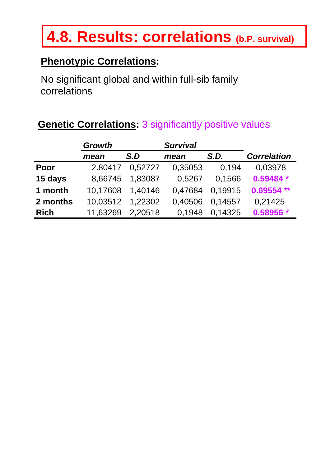### **4.8. Results: correlations (b.P. survival)**

#### **Phenotypic Correlations:**

No significant global and within full-sib family correlations

| <b>Genetic Correlations: 3 significantly positive values</b> |
|--------------------------------------------------------------|
|--------------------------------------------------------------|

|             | <b>Growth</b> |         | <b>Survival</b> |         |                    |
|-------------|---------------|---------|-----------------|---------|--------------------|
|             | mean          | S.D     | mean            | S.D.    | <b>Correlation</b> |
| Poor        | 2.80417       | 0.52727 | 0,35053         | 0.194   | $-0.03978$         |
| 15 days     | 8,66745       | 1,83087 | 0,5267          | 0,1566  | $0.59484*$         |
| 1 month     | 10,17608      | 1,40146 | 0.47684         | 0,19915 | $0.69554**$        |
| 2 months    | 10,03512      | 1,22302 | 0,40506         | 0.14557 | 0,21425            |
| <b>Rich</b> | 11,63269      | 2,20518 | 0.1948          | 0.14325 | 0.58956 *          |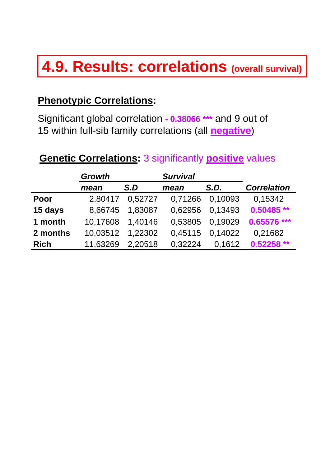### **4.9. Results: correlations (overall survival)**

#### **Phenotypic Correlations:**

Significant global correlation **- 0.38066 \*\*\*** and 9 out of 15 within full-sib family correlations (all **negative**)

#### **Genetic Correlations:** 3 significantly **positive** values

|             | <b>Growth</b> |         | <b>Survival</b> |         |                    |
|-------------|---------------|---------|-----------------|---------|--------------------|
|             | mean          | S.D     | mean            | S.D.    | <b>Correlation</b> |
| Poor        | 2.80417       | 0,52727 | 0,71266         | 0,10093 | 0,15342            |
| 15 days     | 8,66745       | 1,83087 | 0.62956         | 0.13493 | $0.50485**$        |
| 1 month     | 10,17608      | 1,40146 | 0,53805         | 0,19029 | 0.65576 ***        |
| 2 months    | 10,03512      | 1,22302 | 0,45115         | 0,14022 | 0,21682            |
| <b>Rich</b> | 11,63269      | 2.20518 | 0.32224         | 0,1612  | $0.52258**$        |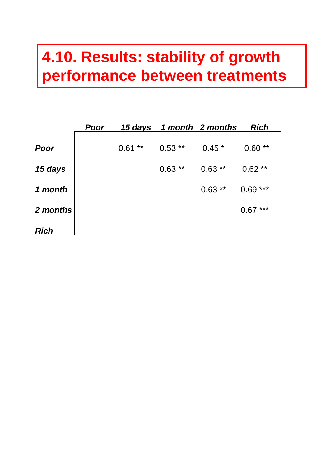### **4.10. Results: stability of growth performance between treatments**

|             | Poor |               |           | 15 days 1 month 2 months | <b>Rich</b>   |
|-------------|------|---------------|-----------|--------------------------|---------------|
| Poor        |      | $***$<br>0.61 | $0.53$ ** | $0.45*$                  | $***$<br>0.60 |
| 15 days     |      |               | $0.63***$ | $0.63***$                | $0.62**$      |
| 1 month     |      |               |           | $0.63**$                 | ***<br>0.69   |
| 2 months    |      |               |           |                          | ***<br>0.67   |
| <b>Rich</b> |      |               |           |                          |               |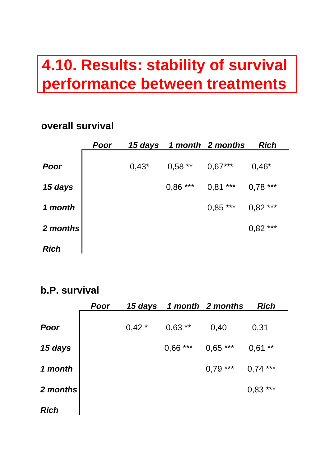### **4.10. Results: stability of survival performance between treatments**

#### **overall survival**

|             | Poor | 15 days |           | 1 month 2 months | <b>Rich</b>   |
|-------------|------|---------|-----------|------------------|---------------|
| Poor        |      | $0,43*$ | $0,58$ ** | $0,67***$        | $0,46*$       |
| 15 days     |      |         | $0,86***$ | $0,81***$        | $0,78***$     |
| 1 month     |      |         |           | $0,85***$        | $***$<br>0,82 |
| 2 months    |      |         |           |                  | $0,82***$     |
| <b>Rich</b> |      |         |           |                  |               |

#### **b.P. survival**

|             | <b>Poor</b> | 15 days |            | 1 month 2 months | <b>Rich</b> |
|-------------|-------------|---------|------------|------------------|-------------|
| Poor        |             | $0,42*$ | $0,63$ **  | 0,40             | 0,31        |
| 15 days     |             |         | $0,66$ *** | $0,65***$        | $0,61$ **   |
| 1 month     |             |         |            | $0,79***$        | ***<br>0,74 |
| 2 months    |             |         |            |                  | ***<br>0,83 |
| <b>Rich</b> |             |         |            |                  |             |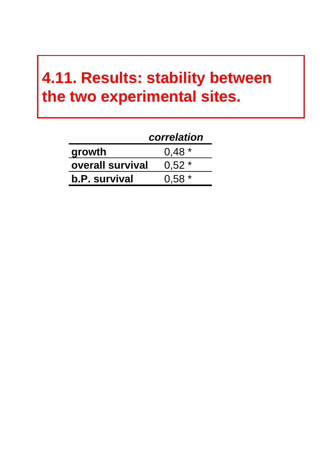### **4.11. Results: stability between the two experimental sites.**

|                         | correlation |
|-------------------------|-------------|
| growth                  | $0.48*$     |
| <b>overall survival</b> | $0.52*$     |
| <b>b.P.</b> survival    | $0.58*$     |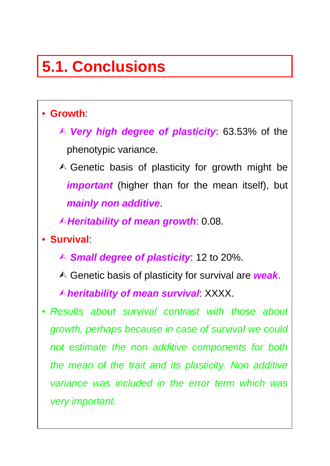## **5.1. Conclusions**

#### • **Growth**:

- ¿ *Very high degree of plasticity*: 63.53% of the phenotypic variance.
- $\triangle$  Genetic basis of plasticity for growth might be *important* (higher than for the mean itself), but *mainly non additive*.
- ¿*Heritability of mean growth*: 0.08.
- **Survival**:
	- ¿ *Small degree of plasticity*: 12 to 20%.
	- ¿ Genetic basis of plasticity for survival are *weak*.

¿*heritability of mean survival*: XXXX.

• *Results about survival contrast with those about growth, perhaps because in case of survival we could not estimate the non additive components for both the mean of the trait and its plasticity. Non additive variance was included in the error term which was very important.*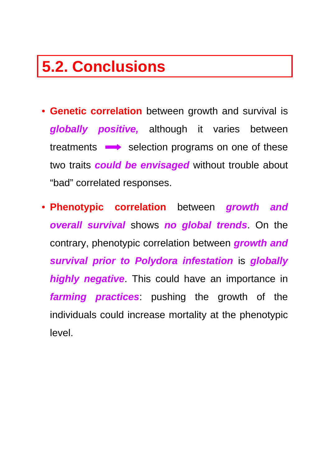### **5.2. Conclusions**

- **Genetic correlation** between growth and survival is *globally positive,* although it varies between treatments  $\longrightarrow$  selection programs on one of these two traits *could be envisaged* without trouble about "bad" correlated responses.
- **Phenotypic correlation** between *growth and overall survival* shows *no global trends*. On the contrary, phenotypic correlation between *growth and survival prior to Polydora infestation* is *globally highly negative*. This could have an importance in *farming practices*: pushing the growth of the individuals could increase mortality at the phenotypic level.